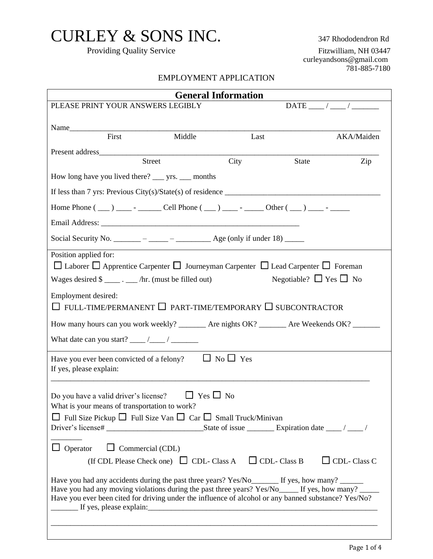## CURLEY & SONS INC. 347 Rhododendron Rd

Providing Quality Service Fitzwilliam, NH 03447 curleyandsons@gmail.com 781-885-7180

## EMPLOYMENT APPLICATION

| <b>General Information</b>                                                                                                                                                                                                                                                                                                                                                                                                                                                                                                                                                                                                                                     |  |  |  |  |
|----------------------------------------------------------------------------------------------------------------------------------------------------------------------------------------------------------------------------------------------------------------------------------------------------------------------------------------------------------------------------------------------------------------------------------------------------------------------------------------------------------------------------------------------------------------------------------------------------------------------------------------------------------------|--|--|--|--|
| PLEASE PRINT YOUR ANSWERS LEGIBLY<br>$\text{DATE}$ / /                                                                                                                                                                                                                                                                                                                                                                                                                                                                                                                                                                                                         |  |  |  |  |
|                                                                                                                                                                                                                                                                                                                                                                                                                                                                                                                                                                                                                                                                |  |  |  |  |
| Name<br>First<br>Middle<br>AKA/Maiden<br>Last                                                                                                                                                                                                                                                                                                                                                                                                                                                                                                                                                                                                                  |  |  |  |  |
|                                                                                                                                                                                                                                                                                                                                                                                                                                                                                                                                                                                                                                                                |  |  |  |  |
| Present address<br>City<br>Street<br>State<br>Zip                                                                                                                                                                                                                                                                                                                                                                                                                                                                                                                                                                                                              |  |  |  |  |
|                                                                                                                                                                                                                                                                                                                                                                                                                                                                                                                                                                                                                                                                |  |  |  |  |
| If less than 7 yrs: Previous City(s)/State(s) of residence $\frac{1}{\sqrt{1-\frac{1}{n}}}\left  \frac{f(x,y)}{g(x,y)} \right $                                                                                                                                                                                                                                                                                                                                                                                                                                                                                                                                |  |  |  |  |
|                                                                                                                                                                                                                                                                                                                                                                                                                                                                                                                                                                                                                                                                |  |  |  |  |
|                                                                                                                                                                                                                                                                                                                                                                                                                                                                                                                                                                                                                                                                |  |  |  |  |
| Social Security No. _______ – _____ – ______ Age (only if under 18) _____                                                                                                                                                                                                                                                                                                                                                                                                                                                                                                                                                                                      |  |  |  |  |
| Position applied for:<br>$\Box$ Laborer $\Box$ Apprentice Carpenter $\Box$ Journeyman Carpenter $\Box$ Lead Carpenter $\Box$ Foreman<br>Negotiable? $\Box$ Yes $\Box$ No<br>Wages desired $\frac{1}{2}$ . _____ /hr. (must be filled out)                                                                                                                                                                                                                                                                                                                                                                                                                      |  |  |  |  |
| Employment desired:<br>$\Box$ FULL-TIME/PERMANENT $\Box$ PART-TIME/TEMPORARY $\Box$ SUBCONTRACTOR                                                                                                                                                                                                                                                                                                                                                                                                                                                                                                                                                              |  |  |  |  |
| How many hours can you work weekly? ________ Are nights OK? _______ Are Weekends OK? _______                                                                                                                                                                                                                                                                                                                                                                                                                                                                                                                                                                   |  |  |  |  |
|                                                                                                                                                                                                                                                                                                                                                                                                                                                                                                                                                                                                                                                                |  |  |  |  |
| Have you ever been convicted of a felony? $\Box$ No $\Box$ Yes<br>If yes, please explain:                                                                                                                                                                                                                                                                                                                                                                                                                                                                                                                                                                      |  |  |  |  |
| Do you have a valid driver's license? $\Box$ Yes $\Box$ No<br>What is your means of transportation to work?<br>$\Box$ Full Size Pickup $\Box$ Full Size Van $\Box$ Car $\Box$ Small Truck/Minivan<br>$\Box$ Commercial (CDL)<br>$\Box$ Operator<br>$\Box$ CDL-Class C<br>(If CDL Please Check one) $\Box$ CDL-Class A $\Box$ CDL-Class B<br>Have you had any accidents during the past three years? Yes/No_________ If yes, how many? _________<br>Have you had any moving violations during the past three years? Yes/No_____ If yes, how many? _____<br>Have you ever been cited for driving under the influence of alcohol or any banned substance? Yes/No? |  |  |  |  |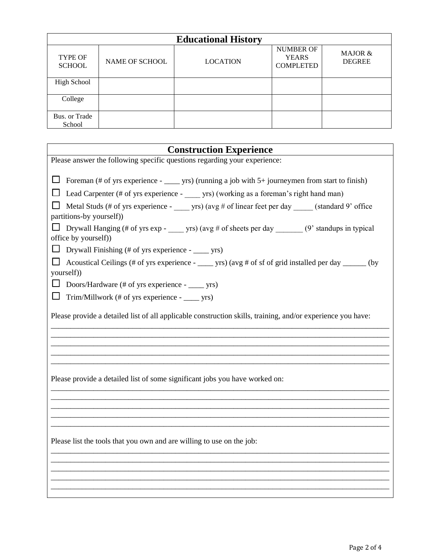|                                 |                       | <b>Educational History</b> |                                                      |                          |
|---------------------------------|-----------------------|----------------------------|------------------------------------------------------|--------------------------|
| <b>TYPE OF</b><br><b>SCHOOL</b> | <b>NAME OF SCHOOL</b> | <b>LOCATION</b>            | <b>NUMBER OF</b><br><b>YEARS</b><br><b>COMPLETED</b> | MAJOR &<br><b>DEGREE</b> |
| High School                     |                       |                            |                                                      |                          |
| College                         |                       |                            |                                                      |                          |
| Bus. or Trade<br>School         |                       |                            |                                                      |                          |

| <b>Construction Experience</b>                                                                                                                                                                                                                                                                                                                                                                                                                                                                                                                                                                                                                                                                                       |
|----------------------------------------------------------------------------------------------------------------------------------------------------------------------------------------------------------------------------------------------------------------------------------------------------------------------------------------------------------------------------------------------------------------------------------------------------------------------------------------------------------------------------------------------------------------------------------------------------------------------------------------------------------------------------------------------------------------------|
| Please answer the following specific questions regarding your experience:                                                                                                                                                                                                                                                                                                                                                                                                                                                                                                                                                                                                                                            |
| $\Box$ Foreman (# of yrs experience - _____ yrs) (running a job with 5+ journeymen from start to finish)<br>Lead Carpenter (# of yrs experience - _____ yrs) (working as a foreman's right hand man)<br>⊔<br>Metal Studs (# of yrs experience - _____ yrs) (avg # of linear feet per day _____ (standard 9' office<br>partitions-by yourself))<br>Drywall Hanging (# of yrs exp - _____ yrs) (avg # of sheets per day _______ (9' standups in typical<br>office by yourself))<br>Drywall Finishing (# of yrs experience - _____ yrs)<br>ப<br>Acoustical Ceilings (# of yrs experience - _____ yrs) (avg # of sf of grid installed per day _____ (by<br>yourself)<br>Doors/Hardware (# of yrs experience - _____ yrs) |
| Trim/Millwork (# of yrs experience - _____ yrs)<br>ப                                                                                                                                                                                                                                                                                                                                                                                                                                                                                                                                                                                                                                                                 |
| Please provide a detailed list of all applicable construction skills, training, and/or experience you have:                                                                                                                                                                                                                                                                                                                                                                                                                                                                                                                                                                                                          |
| Please provide a detailed list of some significant jobs you have worked on:                                                                                                                                                                                                                                                                                                                                                                                                                                                                                                                                                                                                                                          |
| Please list the tools that you own and are willing to use on the job:                                                                                                                                                                                                                                                                                                                                                                                                                                                                                                                                                                                                                                                |
|                                                                                                                                                                                                                                                                                                                                                                                                                                                                                                                                                                                                                                                                                                                      |

 $\overline{\phantom{a}}$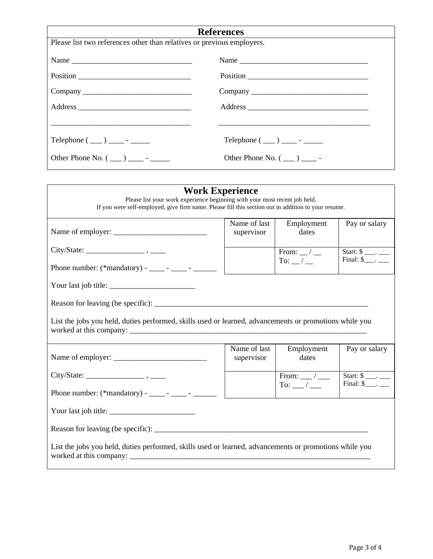| <b>References</b>                                                      |                                    |  |  |
|------------------------------------------------------------------------|------------------------------------|--|--|
| Please list two references other than relatives or previous employers. |                                    |  |  |
| Name                                                                   | Name                               |  |  |
|                                                                        | Position                           |  |  |
|                                                                        |                                    |  |  |
|                                                                        |                                    |  |  |
|                                                                        |                                    |  |  |
|                                                                        | Telephone $(\_\_) \_\_$ - $\_\_$   |  |  |
|                                                                        | Other Phone No. $(\_\_)$ _______ - |  |  |
|                                                                        |                                    |  |  |

| <b>Work Experience</b><br>Please list your work experience beginning with your most recent job held.<br>If you were self-employed, give firm name. Please fill this section out in addition to your resume. |                            |                                                          |                                                                     |  |
|-------------------------------------------------------------------------------------------------------------------------------------------------------------------------------------------------------------|----------------------------|----------------------------------------------------------|---------------------------------------------------------------------|--|
|                                                                                                                                                                                                             | Name of last<br>supervisor | Employment<br>dates                                      | Pay or salary                                                       |  |
| City/State:                                                                                                                                                                                                 |                            | From: $\_\,\_\,\_\,\_\,\_\$<br>To: $\_\,\_\,\_\,\_\,\_\$ | Start: $\frac{1}{2}$ .<br>Final: $\$\_\_\_\_\_\_\_\_\_\_\_\_\_\_\_$ |  |
| Phone number: (*mandatory) - ____ - ____ - _____ -                                                                                                                                                          |                            |                                                          |                                                                     |  |
|                                                                                                                                                                                                             |                            |                                                          |                                                                     |  |
|                                                                                                                                                                                                             |                            |                                                          |                                                                     |  |
| List the jobs you held, duties performed, skills used or learned, advancements or promotions while you                                                                                                      |                            |                                                          |                                                                     |  |
| Name of employer:                                                                                                                                                                                           | Name of last<br>supervisor | Employment<br>dates                                      | Pay or salary                                                       |  |
|                                                                                                                                                                                                             |                            | From: $\_\_\/$<br>To: $\_\_\_\_\_\$                      | Start: $\frac{\ }{2}$ .<br>Final: $\$ _.                            |  |
| Phone number: $(*$ mandatory) - ______ - ______ - ________                                                                                                                                                  |                            |                                                          |                                                                     |  |
| Your last job title: $\sqrt{\frac{2}{1-\frac{1}{2}} + \frac{1}{2-\frac{1}{2}} + \frac{1}{2-\frac{1}{2}}}$                                                                                                   |                            |                                                          |                                                                     |  |
|                                                                                                                                                                                                             |                            |                                                          |                                                                     |  |
| List the jobs you held, duties performed, skills used or learned, advancements or promotions while you                                                                                                      |                            |                                                          |                                                                     |  |